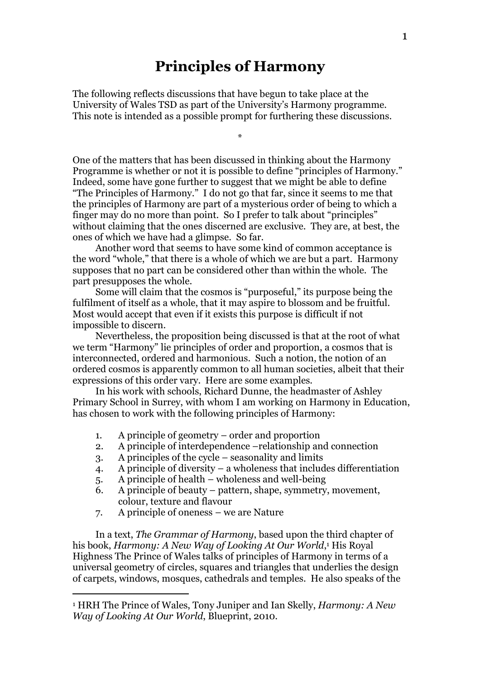## Principles of Harmony

The following reflects discussions that have begun to take place at the University of Wales TSD as part of the University's Harmony programme. This note is intended as a possible prompt for furthering these discussions.

\*

One of the matters that has been discussed in thinking about the Harmony Programme is whether or not it is possible to define "principles of Harmony." Indeed, some have gone further to suggest that we might be able to define "The Principles of Harmony." I do not go that far, since it seems to me that the principles of Harmony are part of a mysterious order of being to which a finger may do no more than point. So I prefer to talk about "principles" without claiming that the ones discerned are exclusive. They are, at best, the ones of which we have had a glimpse. So far.

Another word that seems to have some kind of common acceptance is the word "whole," that there is a whole of which we are but a part. Harmony supposes that no part can be considered other than within the whole. The part presupposes the whole.

Some will claim that the cosmos is "purposeful," its purpose being the fulfilment of itself as a whole, that it may aspire to blossom and be fruitful. Most would accept that even if it exists this purpose is difficult if not impossible to discern.

Nevertheless, the proposition being discussed is that at the root of what we term "Harmony" lie principles of order and proportion, a cosmos that is interconnected, ordered and harmonious. Such a notion, the notion of an ordered cosmos is apparently common to all human societies, albeit that their expressions of this order vary. Here are some examples.

In his work with schools, Richard Dunne, the headmaster of Ashley Primary School in Surrey, with whom I am working on Harmony in Education, has chosen to work with the following principles of Harmony:

- 1. A principle of geometry order and proportion
- 2. A principle of interdependence –relationship and connection
- 3. A principles of the cycle seasonality and limits
- 4. A principle of diversity a wholeness that includes differentiation
- 5. A principle of health wholeness and well-being
- 6. A principle of beauty pattern, shape, symmetry, movement, colour, texture and flavour
- 7. A principle of oneness we are Nature

 $\overline{a}$ 

In a text, The Grammar of Harmony, based upon the third chapter of his book, Harmony: A New Way of Looking At Our World,1 His Royal Highness The Prince of Wales talks of principles of Harmony in terms of a universal geometry of circles, squares and triangles that underlies the design of carpets, windows, mosques, cathedrals and temples. He also speaks of the

 $^{\text{\tiny{1}}}$  HRH The Prince of Wales, Tony Juniper and Ian Skelly, *Harmony: A New* Way of Looking At Our World, Blueprint, 2010.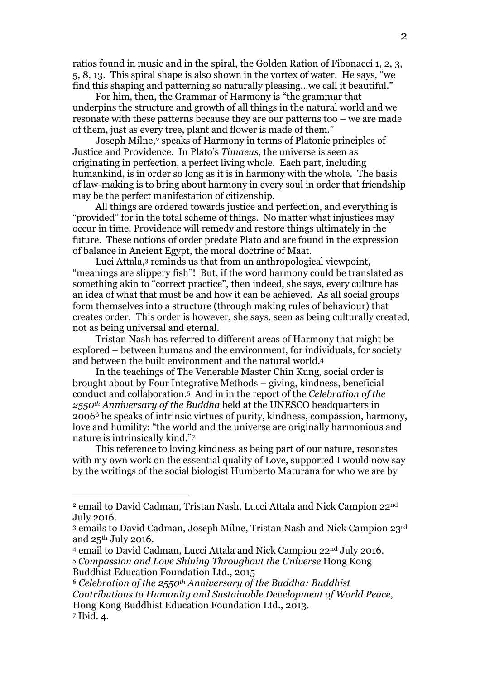ratios found in music and in the spiral, the Golden Ration of Fibonacci 1, 2, 3, 5, 8, 13. This spiral shape is also shown in the vortex of water. He says, "we find this shaping and patterning so naturally pleasing…we call it beautiful."

For him, then, the Grammar of Harmony is "the grammar that underpins the structure and growth of all things in the natural world and we resonate with these patterns because they are our patterns too – we are made of them, just as every tree, plant and flower is made of them."

Joseph Milne,<sup>2</sup> speaks of Harmony in terms of Platonic principles of Justice and Providence. In Plato's Timaeus, the universe is seen as originating in perfection, a perfect living whole. Each part, including humankind, is in order so long as it is in harmony with the whole. The basis of law-making is to bring about harmony in every soul in order that friendship may be the perfect manifestation of citizenship.

All things are ordered towards justice and perfection, and everything is "provided" for in the total scheme of things. No matter what injustices may occur in time, Providence will remedy and restore things ultimately in the future. These notions of order predate Plato and are found in the expression of balance in Ancient Egypt, the moral doctrine of Maat.

Luci Attala,<sup>3</sup> reminds us that from an anthropological viewpoint, "meanings are slippery fish"! But, if the word harmony could be translated as something akin to "correct practice", then indeed, she says, every culture has an idea of what that must be and how it can be achieved. As all social groups form themselves into a structure (through making rules of behaviour) that creates order. This order is however, she says, seen as being culturally created, not as being universal and eternal.

Tristan Nash has referred to different areas of Harmony that might be explored – between humans and the environment, for individuals, for society and between the built environment and the natural world.<sup>4</sup>

In the teachings of The Venerable Master Chin Kung, social order is brought about by Four Integrative Methods – giving, kindness, beneficial conduct and collaboration.5 And in in the report of the Celebration of the 2550<sup>th</sup> Anniversary of the Buddha held at the UNESCO headquarters in 20066 he speaks of intrinsic virtues of purity, kindness, compassion, harmony, love and humility: "the world and the universe are originally harmonious and nature is intrinsically kind."<sup>7</sup>

This reference to loving kindness as being part of our nature, resonates with my own work on the essential quality of Love, supported I would now say by the writings of the social biologist Humberto Maturana for who we are by

 $\overline{a}$ 

<sup>2</sup> email to David Cadman, Tristan Nash, Lucci Attala and Nick Campion 22nd July 2016.

<sup>3</sup> emails to David Cadman, Joseph Milne, Tristan Nash and Nick Campion 23rd and  $25<sup>th</sup>$  July 2016.

<sup>4</sup> email to David Cadman, Lucci Attala and Nick Campion 22nd July 2016. <sup>5</sup> Compassion and Love Shining Throughout the Universe Hong Kong

Buddhist Education Foundation Ltd., 2015

 $6$  Celebration of the 2550<sup>th</sup> Anniversary of the Buddha: Buddhist Contributions to Humanity and Sustainable Development of World Peace, Hong Kong Buddhist Education Foundation Ltd., 2013. 7 Ibid. 4.